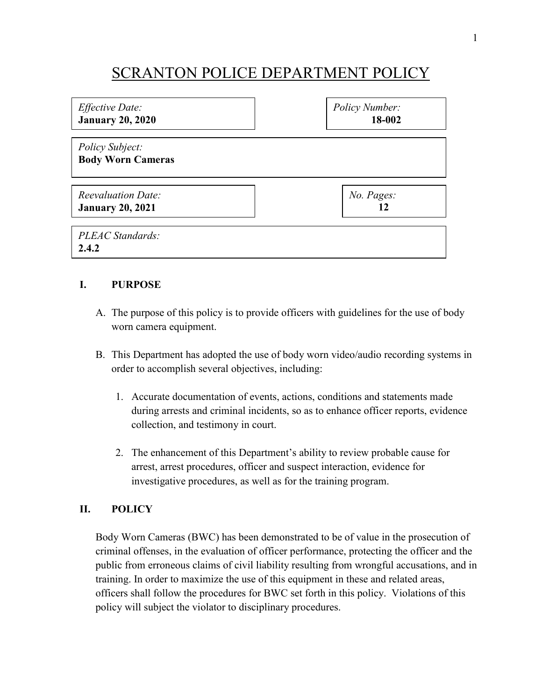# SCRANTON POLICE DEPARTMENT POLICY

| Effective Date:                                    | Policy Number: |
|----------------------------------------------------|----------------|
| <b>January 20, 2020</b>                            | 18-002         |
| <i>Policy Subject:</i><br><b>Body Worn Cameras</b> |                |
| <b>Reevaluation Date:</b>                          | No. Pages:     |
| <b>January 20, 2021</b>                            | 12             |
| PLEAC Standards:<br>2.4.2                          |                |

### **I. PURPOSE**

- A. The purpose of this policy is to provide officers with guidelines for the use of body worn camera equipment.
- B. This Department has adopted the use of body worn video/audio recording systems in order to accomplish several objectives, including:
	- 1. Accurate documentation of events, actions, conditions and statements made during arrests and criminal incidents, so as to enhance officer reports, evidence collection, and testimony in court.
	- 2. The enhancement of this Department's ability to review probable cause for arrest, arrest procedures, officer and suspect interaction, evidence for investigative procedures, as well as for the training program.

## **II. POLICY**

Body Worn Cameras (BWC) has been demonstrated to be of value in the prosecution of criminal offenses, in the evaluation of officer performance, protecting the officer and the public from erroneous claims of civil liability resulting from wrongful accusations, and in training. In order to maximize the use of this equipment in these and related areas, officers shall follow the procedures for BWC set forth in this policy. Violations of this policy will subject the violator to disciplinary procedures.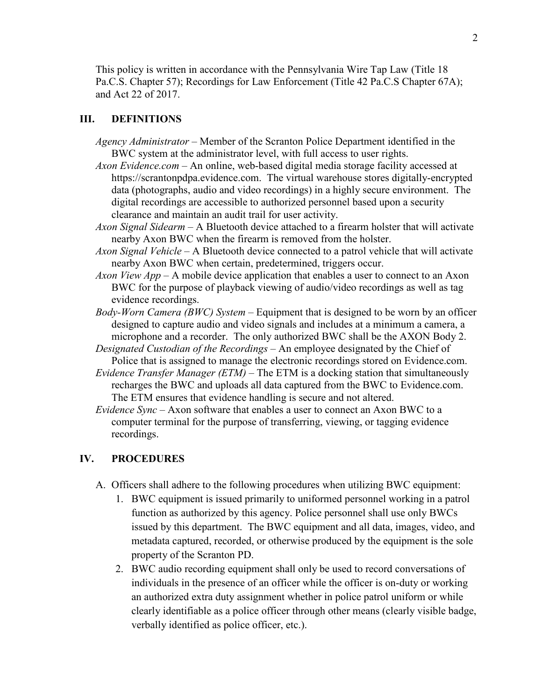This policy is written in accordance with the Pennsylvania Wire Tap Law (Title 18 Pa.C.S. Chapter 57); Recordings for Law Enforcement (Title 42 Pa.C.S Chapter 67A); and Act 22 of 2017.

#### **III. DEFINITIONS**

- *Agency Administrator* Member of the Scranton Police Department identified in the BWC system at the administrator level, with full access to user rights.
- *Axon Evidence.com* An online, web-based digital media storage facility accessed at https://scrantonpdpa.evidence.com. The virtual warehouse stores digitally-encrypted data (photographs, audio and video recordings) in a highly secure environment. The digital recordings are accessible to authorized personnel based upon a security clearance and maintain an audit trail for user activity.
- *Axon Signal Sidearm* A Bluetooth device attached to a firearm holster that will activate nearby Axon BWC when the firearm is removed from the holster.
- *Axon Signal Vehicle* A Bluetooth device connected to a patrol vehicle that will activate nearby Axon BWC when certain, predetermined, triggers occur.
- *Axon View App*  A mobile device application that enables a user to connect to an Axon BWC for the purpose of playback viewing of audio/video recordings as well as tag evidence recordings.
- *Body-Worn Camera (BWC) System* Equipment that is designed to be worn by an officer designed to capture audio and video signals and includes at a minimum a camera, a microphone and a recorder. The only authorized BWC shall be the AXON Body 2.
- *Designated Custodian of the Recordings* An employee designated by the Chief of Police that is assigned to manage the electronic recordings stored on Evidence.com.
- *Evidence Transfer Manager (ETM)* The ETM is a docking station that simultaneously recharges the BWC and uploads all data captured from the BWC to Evidence.com. The ETM ensures that evidence handling is secure and not altered.
- *Evidence Sync*  Axon software that enables a user to connect an Axon BWC to a computer terminal for the purpose of transferring, viewing, or tagging evidence recordings.

#### **IV. PROCEDURES**

- A. Officers shall adhere to the following procedures when utilizing BWC equipment:
	- 1. BWC equipment is issued primarily to uniformed personnel working in a patrol function as authorized by this agency. Police personnel shall use only BWCs issued by this department. The BWC equipment and all data, images, video, and metadata captured, recorded, or otherwise produced by the equipment is the sole property of the Scranton PD.
	- 2. BWC audio recording equipment shall only be used to record conversations of individuals in the presence of an officer while the officer is on-duty or working an authorized extra duty assignment whether in police patrol uniform or while clearly identifiable as a police officer through other means (clearly visible badge, verbally identified as police officer, etc.).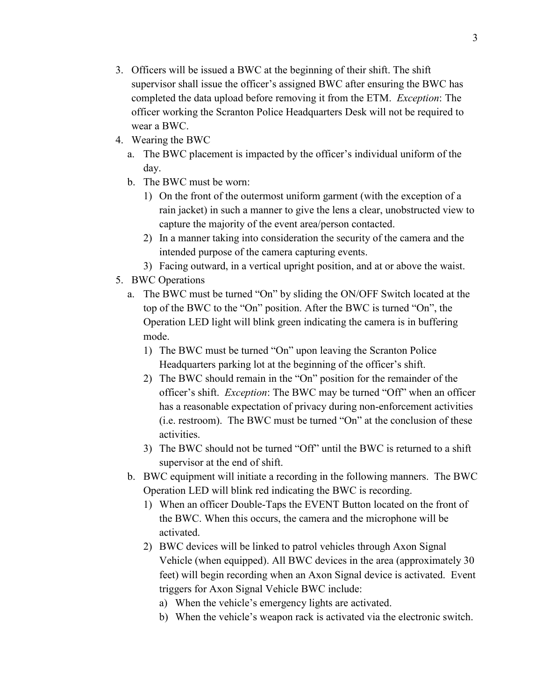- 3. Officers will be issued a BWC at the beginning of their shift. The shift supervisor shall issue the officer's assigned BWC after ensuring the BWC has completed the data upload before removing it from the ETM. *Exception*: The officer working the Scranton Police Headquarters Desk will not be required to wear a BWC.
- 4. Wearing the BWC
	- a. The BWC placement is impacted by the officer's individual uniform of the day.
	- b. The BWC must be worn:
		- 1) On the front of the outermost uniform garment (with the exception of a rain jacket) in such a manner to give the lens a clear, unobstructed view to capture the majority of the event area/person contacted.
		- 2) In a manner taking into consideration the security of the camera and the intended purpose of the camera capturing events.
		- 3) Facing outward, in a vertical upright position, and at or above the waist.
- 5. BWC Operations
	- a. The BWC must be turned "On" by sliding the ON/OFF Switch located at the top of the BWC to the "On" position. After the BWC is turned "On", the Operation LED light will blink green indicating the camera is in buffering mode.
		- 1) The BWC must be turned "On" upon leaving the Scranton Police Headquarters parking lot at the beginning of the officer's shift.
		- 2) The BWC should remain in the "On" position for the remainder of the officer's shift. *Exception*: The BWC may be turned "Off" when an officer has a reasonable expectation of privacy during non-enforcement activities (i.e. restroom). The BWC must be turned "On" at the conclusion of these activities.
		- 3) The BWC should not be turned "Off" until the BWC is returned to a shift supervisor at the end of shift.
	- b. BWC equipment will initiate a recording in the following manners. The BWC Operation LED will blink red indicating the BWC is recording.
		- 1) When an officer Double-Taps the EVENT Button located on the front of the BWC. When this occurs, the camera and the microphone will be activated.
		- 2) BWC devices will be linked to patrol vehicles through Axon Signal Vehicle (when equipped). All BWC devices in the area (approximately 30 feet) will begin recording when an Axon Signal device is activated. Event triggers for Axon Signal Vehicle BWC include:
			- a) When the vehicle's emergency lights are activated.
			- b) When the vehicle's weapon rack is activated via the electronic switch.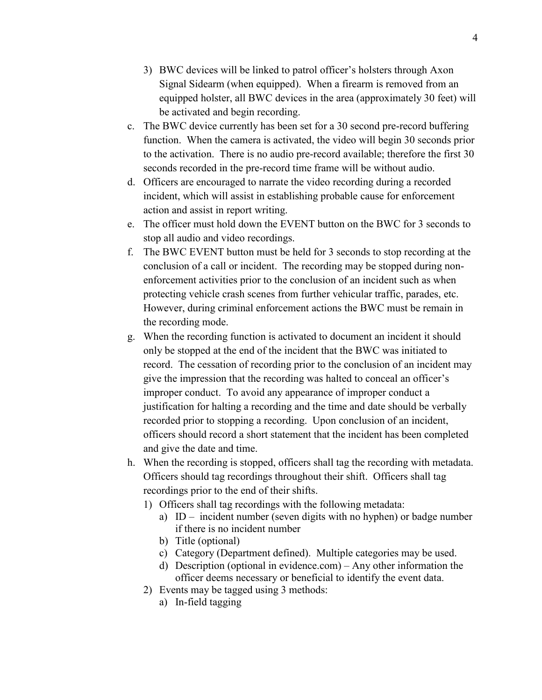- 3) BWC devices will be linked to patrol officer's holsters through Axon Signal Sidearm (when equipped). When a firearm is removed from an equipped holster, all BWC devices in the area (approximately 30 feet) will be activated and begin recording.
- c. The BWC device currently has been set for a 30 second pre-record buffering function. When the camera is activated, the video will begin 30 seconds prior to the activation. There is no audio pre-record available; therefore the first 30 seconds recorded in the pre-record time frame will be without audio.
- d. Officers are encouraged to narrate the video recording during a recorded incident, which will assist in establishing probable cause for enforcement action and assist in report writing.
- e. The officer must hold down the EVENT button on the BWC for 3 seconds to stop all audio and video recordings.
- f. The BWC EVENT button must be held for 3 seconds to stop recording at the conclusion of a call or incident. The recording may be stopped during nonenforcement activities prior to the conclusion of an incident such as when protecting vehicle crash scenes from further vehicular traffic, parades, etc. However, during criminal enforcement actions the BWC must be remain in the recording mode.
- g. When the recording function is activated to document an incident it should only be stopped at the end of the incident that the BWC was initiated to record. The cessation of recording prior to the conclusion of an incident may give the impression that the recording was halted to conceal an officer's improper conduct. To avoid any appearance of improper conduct a justification for halting a recording and the time and date should be verbally recorded prior to stopping a recording. Upon conclusion of an incident, officers should record a short statement that the incident has been completed and give the date and time.
- h. When the recording is stopped, officers shall tag the recording with metadata. Officers should tag recordings throughout their shift. Officers shall tag recordings prior to the end of their shifts.
	- 1) Officers shall tag recordings with the following metadata:
		- a) ID incident number (seven digits with no hyphen) or badge number if there is no incident number
		- b) Title (optional)
		- c) Category (Department defined). Multiple categories may be used.
		- d) Description (optional in evidence.com) Any other information the officer deems necessary or beneficial to identify the event data.
	- 2) Events may be tagged using 3 methods:
		- a) In-field tagging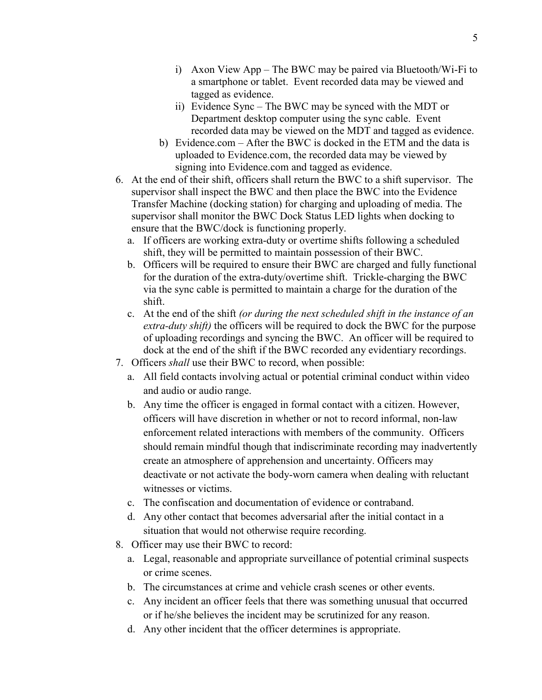- i) Axon View App The BWC may be paired via Bluetooth/Wi-Fi to a smartphone or tablet. Event recorded data may be viewed and tagged as evidence.
- ii) Evidence Sync The BWC may be synced with the MDT or Department desktop computer using the sync cable. Event recorded data may be viewed on the MDT and tagged as evidence.
- b) Evidence.com After the BWC is docked in the ETM and the data is uploaded to Evidence.com, the recorded data may be viewed by signing into Evidence.com and tagged as evidence.
- 6. At the end of their shift, officers shall return the BWC to a shift supervisor. The supervisor shall inspect the BWC and then place the BWC into the Evidence Transfer Machine (docking station) for charging and uploading of media. The supervisor shall monitor the BWC Dock Status LED lights when docking to ensure that the BWC/dock is functioning properly.
	- a. If officers are working extra-duty or overtime shifts following a scheduled shift, they will be permitted to maintain possession of their BWC.
	- b. Officers will be required to ensure their BWC are charged and fully functional for the duration of the extra-duty/overtime shift. Trickle-charging the BWC via the sync cable is permitted to maintain a charge for the duration of the shift.
	- c. At the end of the shift *(or during the next scheduled shift in the instance of an extra-duty shift)* the officers will be required to dock the BWC for the purpose of uploading recordings and syncing the BWC. An officer will be required to dock at the end of the shift if the BWC recorded any evidentiary recordings.
- 7. Officers *shall* use their BWC to record, when possible:
	- a. All field contacts involving actual or potential criminal conduct within video and audio or audio range.
	- b. Any time the officer is engaged in formal contact with a citizen. However, officers will have discretion in whether or not to record informal, non-law enforcement related interactions with members of the community. Officers should remain mindful though that indiscriminate recording may inadvertently create an atmosphere of apprehension and uncertainty. Officers may deactivate or not activate the body-worn camera when dealing with reluctant witnesses or victims.
	- c. The confiscation and documentation of evidence or contraband.
	- d. Any other contact that becomes adversarial after the initial contact in a situation that would not otherwise require recording.
- 8. Officer may use their BWC to record:
	- a. Legal, reasonable and appropriate surveillance of potential criminal suspects or crime scenes.
	- b. The circumstances at crime and vehicle crash scenes or other events.
	- c. Any incident an officer feels that there was something unusual that occurred or if he/she believes the incident may be scrutinized for any reason.
	- d. Any other incident that the officer determines is appropriate.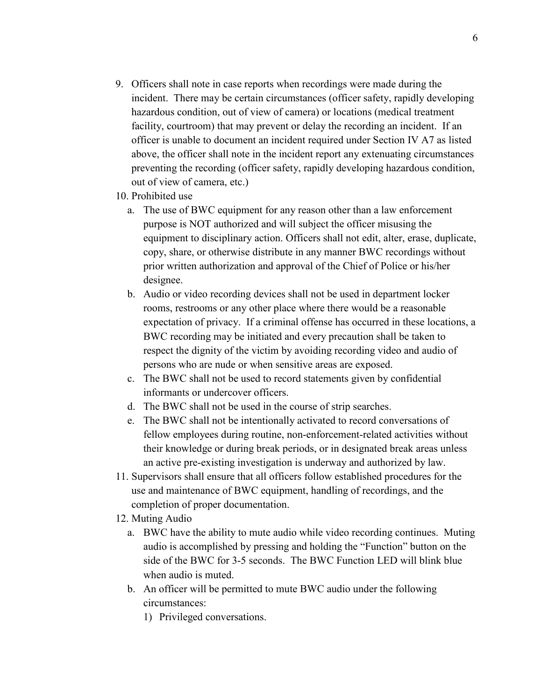- 9. Officers shall note in case reports when recordings were made during the incident. There may be certain circumstances (officer safety, rapidly developing hazardous condition, out of view of camera) or locations (medical treatment facility, courtroom) that may prevent or delay the recording an incident. If an officer is unable to document an incident required under Section IV A7 as listed above, the officer shall note in the incident report any extenuating circumstances preventing the recording (officer safety, rapidly developing hazardous condition, out of view of camera, etc.)
- 10. Prohibited use
	- a. The use of BWC equipment for any reason other than a law enforcement purpose is NOT authorized and will subject the officer misusing the equipment to disciplinary action. Officers shall not edit, alter, erase, duplicate, copy, share, or otherwise distribute in any manner BWC recordings without prior written authorization and approval of the Chief of Police or his/her designee.
	- b. Audio or video recording devices shall not be used in department locker rooms, restrooms or any other place where there would be a reasonable expectation of privacy. If a criminal offense has occurred in these locations, a BWC recording may be initiated and every precaution shall be taken to respect the dignity of the victim by avoiding recording video and audio of persons who are nude or when sensitive areas are exposed.
	- c. The BWC shall not be used to record statements given by confidential informants or undercover officers.
	- d. The BWC shall not be used in the course of strip searches.
	- e. The BWC shall not be intentionally activated to record conversations of fellow employees during routine, non-enforcement-related activities without their knowledge or during break periods, or in designated break areas unless an active pre-existing investigation is underway and authorized by law.
- 11. Supervisors shall ensure that all officers follow established procedures for the use and maintenance of BWC equipment, handling of recordings, and the completion of proper documentation.
- 12. Muting Audio
	- a. BWC have the ability to mute audio while video recording continues. Muting audio is accomplished by pressing and holding the "Function" button on the side of the BWC for 3-5 seconds. The BWC Function LED will blink blue when audio is muted.
	- b. An officer will be permitted to mute BWC audio under the following circumstances:
		- 1) Privileged conversations.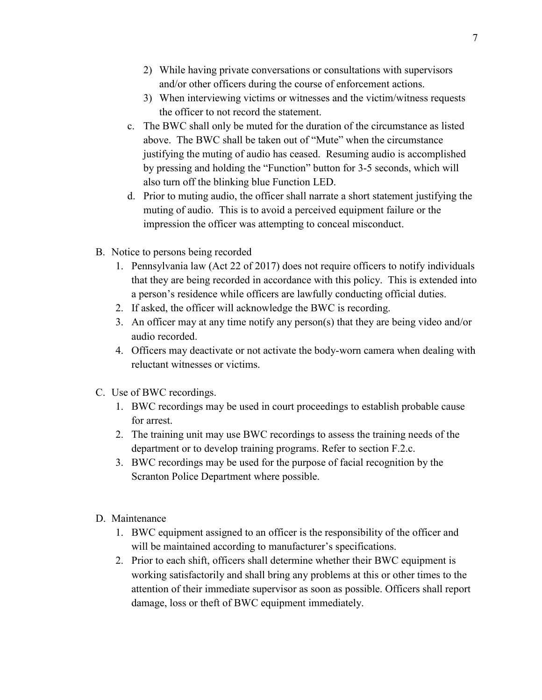- 2) While having private conversations or consultations with supervisors and/or other officers during the course of enforcement actions.
- 3) When interviewing victims or witnesses and the victim/witness requests the officer to not record the statement.
- c. The BWC shall only be muted for the duration of the circumstance as listed above. The BWC shall be taken out of "Mute" when the circumstance justifying the muting of audio has ceased. Resuming audio is accomplished by pressing and holding the "Function" button for 3-5 seconds, which will also turn off the blinking blue Function LED.
- d. Prior to muting audio, the officer shall narrate a short statement justifying the muting of audio. This is to avoid a perceived equipment failure or the impression the officer was attempting to conceal misconduct.
- B. Notice to persons being recorded
	- 1. Pennsylvania law (Act 22 of 2017) does not require officers to notify individuals that they are being recorded in accordance with this policy. This is extended into a person's residence while officers are lawfully conducting official duties.
	- 2. If asked, the officer will acknowledge the BWC is recording.
	- 3. An officer may at any time notify any person(s) that they are being video and/or audio recorded.
	- 4. Officers may deactivate or not activate the body-worn camera when dealing with reluctant witnesses or victims.
- C. Use of BWC recordings.
	- 1. BWC recordings may be used in court proceedings to establish probable cause for arrest.
	- 2. The training unit may use BWC recordings to assess the training needs of the department or to develop training programs. Refer to section F.2.c.
	- 3. BWC recordings may be used for the purpose of facial recognition by the Scranton Police Department where possible.
- D. Maintenance
	- 1. BWC equipment assigned to an officer is the responsibility of the officer and will be maintained according to manufacturer's specifications.
	- 2. Prior to each shift, officers shall determine whether their BWC equipment is working satisfactorily and shall bring any problems at this or other times to the attention of their immediate supervisor as soon as possible. Officers shall report damage, loss or theft of BWC equipment immediately.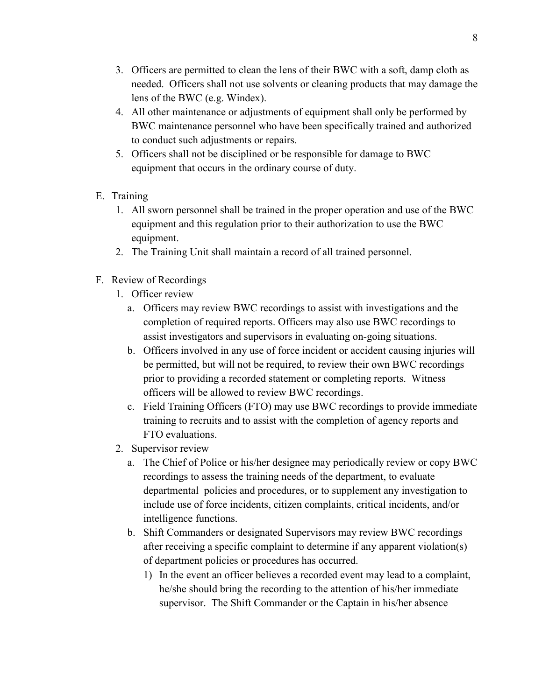- 3. Officers are permitted to clean the lens of their BWC with a soft, damp cloth as needed. Officers shall not use solvents or cleaning products that may damage the lens of the BWC (e.g. Windex).
- 4. All other maintenance or adjustments of equipment shall only be performed by BWC maintenance personnel who have been specifically trained and authorized to conduct such adjustments or repairs.
- 5. Officers shall not be disciplined or be responsible for damage to BWC equipment that occurs in the ordinary course of duty.
- E. Training
	- 1. All sworn personnel shall be trained in the proper operation and use of the BWC equipment and this regulation prior to their authorization to use the BWC equipment.
	- 2. The Training Unit shall maintain a record of all trained personnel.
- F. Review of Recordings
	- 1. Officer review
		- a. Officers may review BWC recordings to assist with investigations and the completion of required reports. Officers may also use BWC recordings to assist investigators and supervisors in evaluating on-going situations.
		- b. Officers involved in any use of force incident or accident causing injuries will be permitted, but will not be required, to review their own BWC recordings prior to providing a recorded statement or completing reports. Witness officers will be allowed to review BWC recordings.
		- c. Field Training Officers (FTO) may use BWC recordings to provide immediate training to recruits and to assist with the completion of agency reports and FTO evaluations.
	- 2. Supervisor review
		- a. The Chief of Police or his/her designee may periodically review or copy BWC recordings to assess the training needs of the department, to evaluate departmental policies and procedures, or to supplement any investigation to include use of force incidents, citizen complaints, critical incidents, and/or intelligence functions.
		- b. Shift Commanders or designated Supervisors may review BWC recordings after receiving a specific complaint to determine if any apparent violation(s) of department policies or procedures has occurred.
			- 1) In the event an officer believes a recorded event may lead to a complaint, he/she should bring the recording to the attention of his/her immediate supervisor. The Shift Commander or the Captain in his/her absence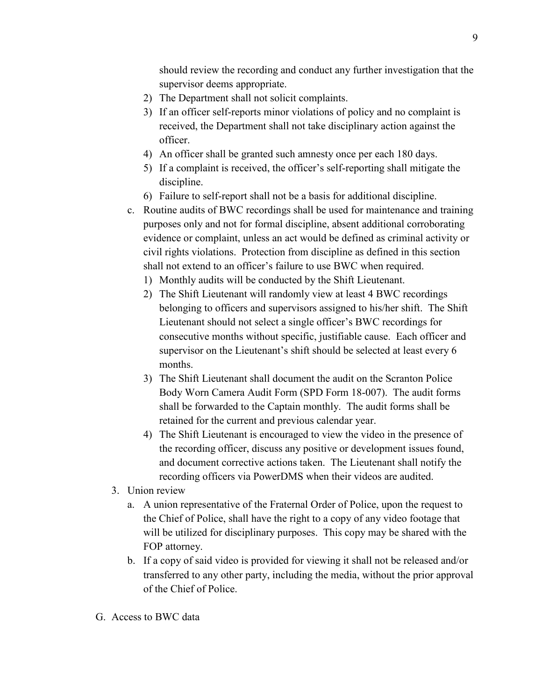should review the recording and conduct any further investigation that the supervisor deems appropriate.

- 2) The Department shall not solicit complaints.
- 3) If an officer self-reports minor violations of policy and no complaint is received, the Department shall not take disciplinary action against the officer.
- 4) An officer shall be granted such amnesty once per each 180 days.
- 5) If a complaint is received, the officer's self-reporting shall mitigate the discipline.
- 6) Failure to self-report shall not be a basis for additional discipline.
- c. Routine audits of BWC recordings shall be used for maintenance and training purposes only and not for formal discipline, absent additional corroborating evidence or complaint, unless an act would be defined as criminal activity or civil rights violations. Protection from discipline as defined in this section shall not extend to an officer's failure to use BWC when required.
	- 1) Monthly audits will be conducted by the Shift Lieutenant.
	- 2) The Shift Lieutenant will randomly view at least 4 BWC recordings belonging to officers and supervisors assigned to his/her shift. The Shift Lieutenant should not select a single officer's BWC recordings for consecutive months without specific, justifiable cause. Each officer and supervisor on the Lieutenant's shift should be selected at least every 6 months.
	- 3) The Shift Lieutenant shall document the audit on the Scranton Police Body Worn Camera Audit Form (SPD Form 18-007). The audit forms shall be forwarded to the Captain monthly. The audit forms shall be retained for the current and previous calendar year.
	- 4) The Shift Lieutenant is encouraged to view the video in the presence of the recording officer, discuss any positive or development issues found, and document corrective actions taken. The Lieutenant shall notify the recording officers via PowerDMS when their videos are audited.
- 3. Union review
	- a. A union representative of the Fraternal Order of Police, upon the request to the Chief of Police, shall have the right to a copy of any video footage that will be utilized for disciplinary purposes. This copy may be shared with the FOP attorney.
	- b. If a copy of said video is provided for viewing it shall not be released and/or transferred to any other party, including the media, without the prior approval of the Chief of Police.
- G. Access to BWC data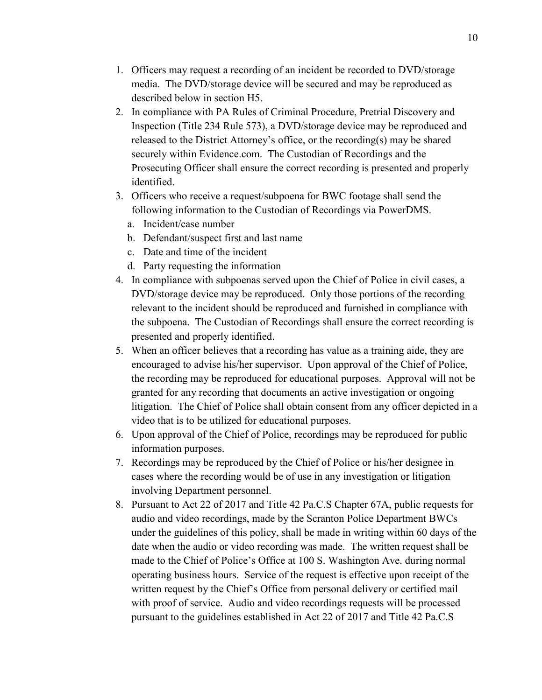- 1. Officers may request a recording of an incident be recorded to DVD/storage media. The DVD/storage device will be secured and may be reproduced as described below in section H5.
- 2. In compliance with PA Rules of Criminal Procedure, Pretrial Discovery and Inspection (Title 234 Rule 573), a DVD/storage device may be reproduced and released to the District Attorney's office, or the recording(s) may be shared securely within Evidence.com. The Custodian of Recordings and the Prosecuting Officer shall ensure the correct recording is presented and properly identified.
- 3. Officers who receive a request/subpoena for BWC footage shall send the following information to the Custodian of Recordings via PowerDMS.
	- a. Incident/case number
	- b. Defendant/suspect first and last name
	- c. Date and time of the incident
	- d. Party requesting the information
- 4. In compliance with subpoenas served upon the Chief of Police in civil cases, a DVD/storage device may be reproduced. Only those portions of the recording relevant to the incident should be reproduced and furnished in compliance with the subpoena. The Custodian of Recordings shall ensure the correct recording is presented and properly identified.
- 5. When an officer believes that a recording has value as a training aide, they are encouraged to advise his/her supervisor. Upon approval of the Chief of Police, the recording may be reproduced for educational purposes. Approval will not be granted for any recording that documents an active investigation or ongoing litigation. The Chief of Police shall obtain consent from any officer depicted in a video that is to be utilized for educational purposes.
- 6. Upon approval of the Chief of Police, recordings may be reproduced for public information purposes.
- 7. Recordings may be reproduced by the Chief of Police or his/her designee in cases where the recording would be of use in any investigation or litigation involving Department personnel.
- 8. Pursuant to Act 22 of 2017 and Title 42 Pa.C.S Chapter 67A, public requests for audio and video recordings, made by the Scranton Police Department BWCs under the guidelines of this policy, shall be made in writing within 60 days of the date when the audio or video recording was made. The written request shall be made to the Chief of Police's Office at 100 S. Washington Ave. during normal operating business hours. Service of the request is effective upon receipt of the written request by the Chief's Office from personal delivery or certified mail with proof of service. Audio and video recordings requests will be processed pursuant to the guidelines established in Act 22 of 2017 and Title 42 Pa.C.S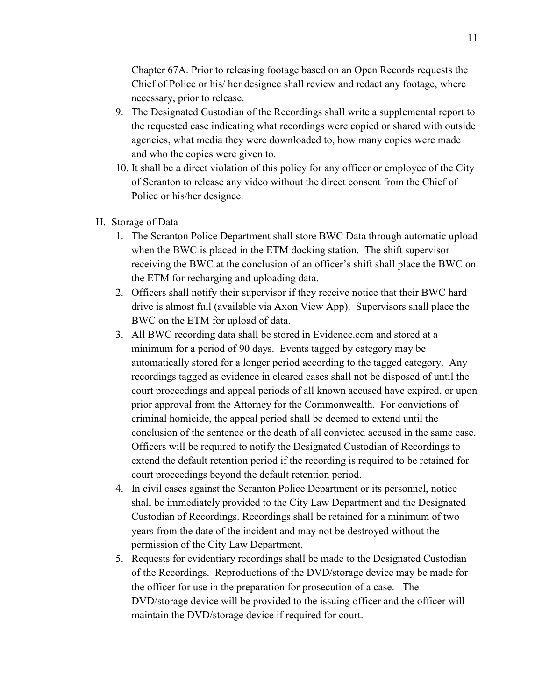Chapter 67A. Prior to releasing footage based on an Open Records requests the Chief of Police or his/ her designee shall review and redact any footage, where necessary, prior to release.

- 9. The Designated Custodian of the Recordings shall write a supplemental report to the requested case indicating what recordings were copied or shared with outside agencies, what media they were downloaded to, how many copies were made and who the copies were given to.
- 10. It shall be a direct violation of this policy for any officer or employee of the City of Scranton to release any video without the direct consent from the Chief of Police or his/her designee.
- H. Storage of Data
	- 1. The Scranton Police Department shall store BWC Data through automatic upload when the BWC is placed in the ETM docking station. The shift supervisor receiving the BWC at the conclusion of an officer's shift shall place the BWC on the ETM for recharging and uploading data.
	- 2. Officers shall notify their supervisor if they receive notice that their BWC hard drive is almost full (available via Axon View App). Supervisors shall place the BWC on the ETM for upload of data.
	- 3. All BWC recording data shall be stored in Evidence.com and stored at a minimum for a period of 90 days. Events tagged by category may be automatically stored for a longer period according to the tagged category. Any recordings tagged as evidence in cleared cases shall not be disposed of until the court proceedings and appeal periods of all known accused have expired, or upon prior approval from the Attorney for the Commonwealth. For convictions of criminal homicide, the appeal period shall be deemed to extend until the conclusion of the sentence or the death of all convicted accused in the same case. Officers will be required to notify the Designated Custodian of Recordings to extend the default retention period if the recording is required to be retained for court proceedings beyond the default retention period.
	- 4. In civil cases against the Scranton Police Department or its personnel, notice shall be immediately provided to the City Law Department and the Designated Custodian of Recordings. Recordings shall be retained for a minimum of two years from the date of the incident and may not be destroyed without the permission of the City Law Department.
	- 5. Requests for evidentiary recordings shall be made to the Designated Custodian of the Recordings. Reproductions of the DVD/storage device may be made for the officer for use in the preparation for prosecution of a case.The DVD/storage device will be provided to the issuing officer and the officer will maintain the DVD/storage device if required for court.